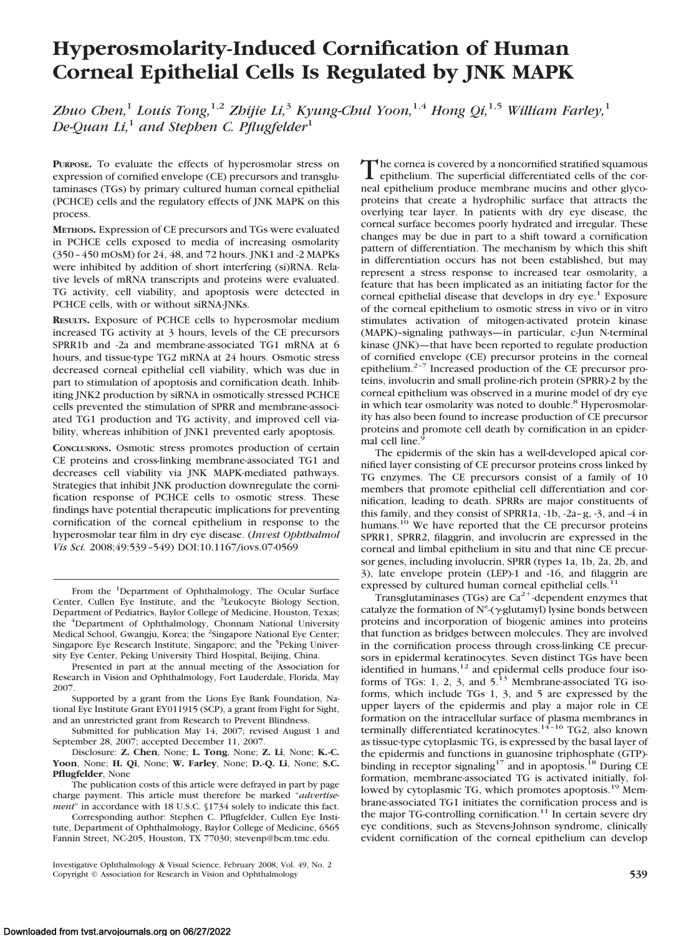# **Hyperosmolarity-Induced Cornification of Human Corneal Epithelial Cells Is Regulated by JNK MAPK**

*Zhuo Chen,*<sup>1</sup> *Louis Tong,*1,2 *Zhijie Li,*<sup>3</sup> *Kyung-Chul Yoon,*1,4 *Hong Qi,*1,5 *William Farley,*<sup>1</sup> *De-Quan Li,*<sup>1</sup> *and Stephen C. Pflugfelder*<sup>1</sup>

**PURPOSE.** To evaluate the effects of hyperosmolar stress on expression of cornified envelope (CE) precursors and transglutaminases (TGs) by primary cultured human corneal epithelial (PCHCE) cells and the regulatory effects of JNK MAPK on this process.

**METHODS.** Expression of CE precursors and TGs were evaluated in PCHCE cells exposed to media of increasing osmolarity (350 – 450 mOsM) for 24, 48, and 72 hours. JNK1 and -2 MAPKs were inhibited by addition of short interfering (si)RNA. Relative levels of mRNA transcripts and proteins were evaluated. TG activity, cell viability, and apoptosis were detected in PCHCE cells, with or without siRNA-JNKs.

**RESULTS.** Exposure of PCHCE cells to hyperosmolar medium increased TG activity at 3 hours, levels of the CE precursors SPRR1b and -2a and membrane-associated TG1 mRNA at 6 hours, and tissue-type TG2 mRNA at 24 hours. Osmotic stress decreased corneal epithelial cell viability, which was due in part to stimulation of apoptosis and cornification death. Inhibiting JNK2 production by siRNA in osmotically stressed PCHCE cells prevented the stimulation of SPRR and membrane-associated TG1 production and TG activity, and improved cell viability, whereas inhibition of JNK1 prevented early apoptosis.

**CONCLUSIONS.** Osmotic stress promotes production of certain CE proteins and cross-linking membrane-associated TG1 and decreases cell viability via JNK MAPK-mediated pathways. Strategies that inhibit JNK production downregulate the cornification response of PCHCE cells to osmotic stress. These findings have potential therapeutic implications for preventing cornification of the corneal epithelium in response to the hyperosmolar tear film in dry eye disease. (*Invest Ophthalmol Vis Sci.* 2008;49:539 –549) DOI:10.1167/iovs.07-0569

Presented in part at the annual meeting of the Association for Research in Vision and Ophthalmology, Fort Lauderdale, Florida, May 2007.

Supported by a grant from the Lions Eye Bank Foundation, National Eye Institute Grant EY011915 (SCP), a grant from Fight for Sight, and an unrestricted grant from Research to Prevent Blindness.

Submitted for publication May 14, 2007; revised August 1 and September 28, 2007; accepted December 11, 2007.

Disclosure: **Z. Chen**, None; **L. Tong**, None; **Z. Li**, None; **K.-C. Yoon**, None; **H. Qi**, None; **W. Farley**, None; **D.-Q. Li**, None; **S.C. Pflugfelder**, None

The publication costs of this article were defrayed in part by page charge payment. This article must therefore be marked "*advertisement*" in accordance with 18 U.S.C. §1734 solely to indicate this fact.

Corresponding author: Stephen C. Pflugfelder, Cullen Eye Institute, Department of Ophthalmology, Baylor College of Medicine, 6565 Fannin Street, NC-205, Houston, TX 77030; stevenp@bcm.tmc.edu.

The cornea is covered by a noncornified stratified squamous<br>epithelium. The superficial differentiated cells of the cor-<br>and a site-lium and the members music and the shape neal epithelium produce membrane mucins and other glycoproteins that create a hydrophilic surface that attracts the overlying tear layer. In patients with dry eye disease, the corneal surface becomes poorly hydrated and irregular. These changes may be due in part to a shift toward a cornification pattern of differentiation. The mechanism by which this shift in differentiation occurs has not been established, but may represent a stress response to increased tear osmolarity, a feature that has been implicated as an initiating factor for the corneal epithelial disease that develops in dry  $eye<sup>1</sup>$  Exposure of the corneal epithelium to osmotic stress in vivo or in vitro stimulates activation of mitogen-activated protein kinase (MAPK)–signaling pathways—in particular, c-Jun N-terminal kinase (JNK)—that have been reported to regulate production of cornified envelope (CE) precursor proteins in the corneal epithelium.2–7 Increased production of the CE precursor proteins, involucrin and small proline-rich protein (SPRR)-2 by the corneal epithelium was observed in a murine model of dry eye in which tear osmolarity was noted to double.<sup>8</sup> Hyperosmolarity has also been found to increase production of CE precursor proteins and promote cell death by cornification in an epidermal cell line.<sup>9</sup>

The epidermis of the skin has a well-developed apical cornified layer consisting of CE precursor proteins cross linked by TG enzymes. The CE precursors consist of a family of 10 members that promote epithelial cell differentiation and cornification, leading to death. SPRRs are major constituents of this family, and they consist of SPRR1a, -1b, -2a– g, -3, and -4 in humans.<sup>10</sup> We have reported that the CE precursor proteins SPRR1, SPRR2, filaggrin, and involucrin are expressed in the corneal and limbal epithelium in situ and that nine CE precursor genes, including involucrin, SPRR (types 1a, 1b, 2a, 2b, and 3), late envelope protein (LEP)-1 and -16, and filaggrin are expressed by cultured human corneal epithelial cells.<sup>11</sup>

Transglutaminases (TGs) are  $Ca^{2+}$ -dependent enzymes that catalyze the formation of  $N^{\epsilon}$  ( $\gamma$ -glutamyl) lysine bonds between proteins and incorporation of biogenic amines into proteins that function as bridges between molecules. They are involved in the cornification process through cross-linking CE precursors in epidermal keratinocytes. Seven distinct TGs have been identified in humans, $12$  and epidermal cells produce four isoforms of TGs: 1, 2, 3, and  $5<sup>13</sup>$  Membrane-associated TG isoforms, which include TGs 1, 3, and 5 are expressed by the upper layers of the epidermis and play a major role in CE formation on the intracellular surface of plasma membranes in terminally differentiated keratinocytes.<sup>14-16</sup> TG2, also known as tissue-type cytoplasmic TG, is expressed by the basal layer of the epidermis and functions in guanosine triphosphate (GTP) binding in receptor signaling<sup>17</sup> and in apoptosis.<sup>18</sup> During CE formation, membrane-associated TG is activated initially, followed by cytoplasmic TG, which promotes apoptosis.<sup>19</sup> Membrane-associated TG1 initiates the cornification process and is the major TG-controlling cornification.<sup>11</sup> In certain severe dry eye conditions, such as Stevens-Johnson syndrome, clinically evident cornification of the corneal epithelium can develop

From the <sup>1</sup>Department of Ophthalmology, The Ocular Surface Center, Cullen Eye Institute, and the <sup>3</sup>Leukocyte Biology Section, Department of Pediatrics, Baylor College of Medicine, Houston, Texas; the <sup>4</sup>Department of Ophthalmology, Chonnam National University<br>Medical School, Gwangju, Korea; the <sup>2</sup>Singapore National Eye Center; Singapore Eye Research Institute, Singapore; and the <sup>5</sup>Peking University Eye Center, Peking University Third Hospital, Beijing, China.

Investigative Ophthalmology & Visual Science, February 2008, Vol. 49, No. 2 Copyright © Association for Research in Vision and Ophthalmology **539**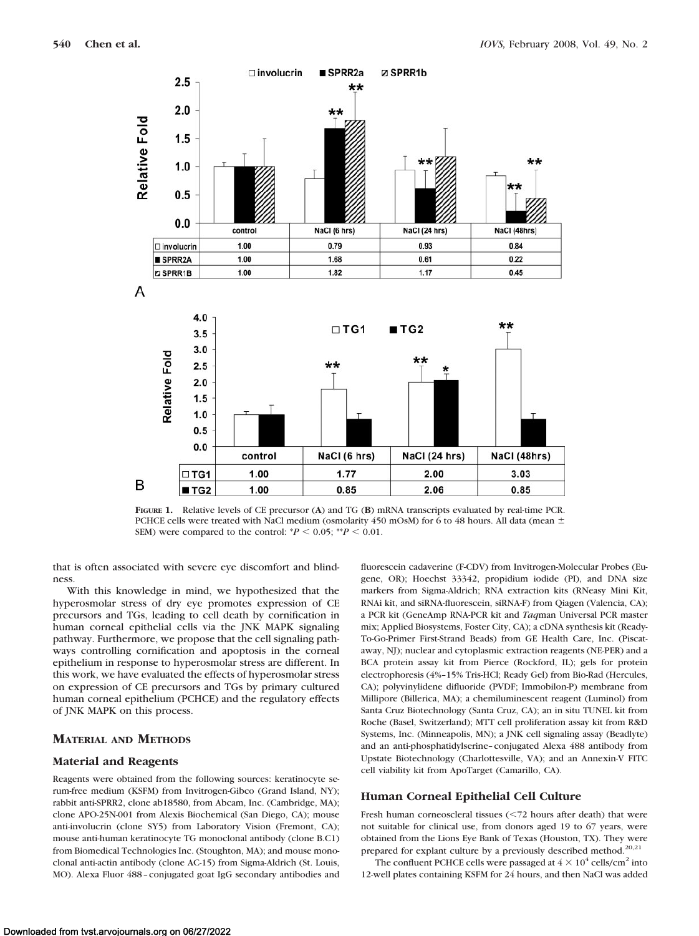

**FIGURE 1.** Relative levels of CE precursor (**A**) and TG (**B**) mRNA transcripts evaluated by real-time PCR. PCHCE cells were treated with NaCl medium (osmolarity 450 mOsM) for 6 to 48 hours. All data (mean  $\pm$ SEM) were compared to the control:  $P < 0.05$ ;  $P < 0.01$ .

that is often associated with severe eye discomfort and blindness.

With this knowledge in mind, we hypothesized that the hyperosmolar stress of dry eye promotes expression of CE precursors and TGs, leading to cell death by cornification in human corneal epithelial cells via the JNK MAPK signaling pathway. Furthermore, we propose that the cell signaling pathways controlling cornification and apoptosis in the corneal epithelium in response to hyperosmolar stress are different. In this work, we have evaluated the effects of hyperosmolar stress on expression of CE precursors and TGs by primary cultured human corneal epithelium (PCHCE) and the regulatory effects of JNK MAPK on this process.

# **MATERIAL AND METHODS**

## **Material and Reagents**

Reagents were obtained from the following sources: keratinocyte serum-free medium (KSFM) from Invitrogen-Gibco (Grand Island, NY); rabbit anti-SPRR2, clone ab18580, from Abcam, Inc. (Cambridge, MA); clone APO-25N-001 from Alexis Biochemical (San Diego, CA); mouse anti-involucrin (clone SY5) from Laboratory Vision (Fremont, CA); mouse anti-human keratinocyte TG monoclonal antibody (clone B.C1) from Biomedical Technologies Inc. (Stoughton, MA); and mouse monoclonal anti-actin antibody (clone AC-15) from Sigma-Aldrich (St. Louis, MO). Alexa Fluor 488 - conjugated goat IgG secondary antibodies and fluorescein cadaverine (F-CDV) from Invitrogen-Molecular Probes (Eugene, OR); Hoechst 33342, propidium iodide (PI), and DNA size markers from Sigma-Aldrich; RNA extraction kits (RNeasy Mini Kit, RNAi kit, and siRNA-fluorescein, siRNA-F) from Qiagen (Valencia, CA); a PCR kit (GeneAmp RNA-PCR kit and *Taq*man Universal PCR master mix; Applied Biosystems, Foster City, CA); a cDNA synthesis kit (Ready-To-Go-Primer First-Strand Beads) from GE Health Care, Inc. (Piscataway, NJ); nuclear and cytoplasmic extraction reagents (NE-PER) and a BCA protein assay kit from Pierce (Rockford, IL); gels for protein electrophoresis (4%–15% Tris-HCl; Ready Gel) from Bio-Rad (Hercules, CA); polyvinylidene difluoride (PVDF; Immobilon-P) membrane from Millipore (Billerica, MA); a chemiluminescent reagent (Luminol) from Santa Cruz Biotechnology (Santa Cruz, CA); an in situ TUNEL kit from Roche (Basel, Switzerland); MTT cell proliferation assay kit from R&D Systems, Inc. (Minneapolis, MN); a JNK cell signaling assay (Beadlyte) and an anti-phosphatidylserine–conjugated Alexa 488 antibody from Upstate Biotechnology (Charlottesville, VA); and an Annexin-V FITC cell viability kit from ApoTarget (Camarillo, CA).

#### **Human Corneal Epithelial Cell Culture**

Fresh human corneoscleral tissues  $\left( \leq 72 \right)$  hours after death) that were not suitable for clinical use, from donors aged 19 to 67 years, were obtained from the Lions Eye Bank of Texas (Houston, TX). They were prepared for explant culture by a previously described method.<sup>20,21</sup>

The confluent PCHCE cells were passaged at  $4 \times 10^4$  cells/cm<sup>2</sup> into 12-well plates containing KSFM for 24 hours, and then NaCl was added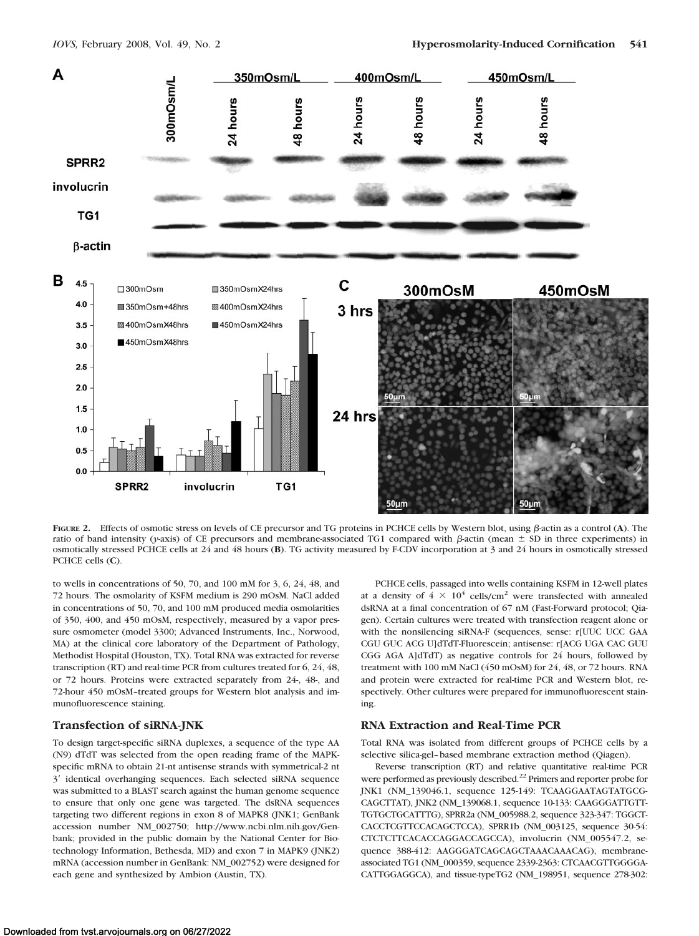

FIGURE 2. Effects of osmotic stress on levels of CE precursor and TG proteins in PCHCE cells by Western blot, using  $\beta$ -actin as a control (A). The ratio of band intensity (*y*-axis) of CE precursors and membrane-associated TG1 compared with  $\beta$ -actin (mean  $\pm$  SD in three experiments) in osmotically stressed PCHCE cells at 24 and 48 hours (**B**). TG activity measured by F-CDV incorporation at 3 and 24 hours in osmotically stressed PCHCE cells (**C**).

to wells in concentrations of 50, 70, and 100 mM for 3, 6, 24, 48, and 72 hours. The osmolarity of KSFM medium is 290 mOsM. NaCl added in concentrations of 50, 70, and 100 mM produced media osmolarities of 350, 400, and 450 mOsM, respectively, measured by a vapor pressure osmometer (model 3300; Advanced Instruments, Inc., Norwood, MA) at the clinical core laboratory of the Department of Pathology, Methodist Hospital (Houston, TX). Total RNA was extracted for reverse transcription (RT) and real-time PCR from cultures treated for 6, 24, 48, or 72 hours. Proteins were extracted separately from 24-, 48-, and 72-hour 450 mOsM–treated groups for Western blot analysis and immunofluorescence staining.

## **Transfection of siRNA-JNK**

To design target-specific siRNA duplexes, a sequence of the type AA (N9) dTdT was selected from the open reading frame of the MAPKspecific mRNA to obtain 21-nt antisense strands with symmetrical-2 nt 3' identical overhanging sequences. Each selected siRNA sequence was submitted to a BLAST search against the human genome sequence to ensure that only one gene was targeted. The dsRNA sequences targeting two different regions in exon 8 of MAPK8 (JNK1; GenBank accession number NM\_002750; http://www.ncbi.nlm.nih.gov/Genbank; provided in the public domain by the National Center for Biotechnology Information, Bethesda, MD) and exon 7 in MAPK9 (JNK2) mRNA (accession number in GenBank: NM\_002752) were designed for each gene and synthesized by Ambion (Austin, TX).

PCHCE cells, passaged into wells containing KSFM in 12-well plates at a density of  $4 \times 10^4$  cells/cm<sup>2</sup> were transfected with annealed dsRNA at a final concentration of 67 nM (Fast-Forward protocol; Qiagen). Certain cultures were treated with transfection reagent alone or with the nonsilencing siRNA-F (sequences, sense: r[UUC UCC GAA CGU GUC ACG U]dTdT-Fluorescein; antisense: r[ACG UGA CAC GUU CGG AGA A]dTdT) as negative controls for 24 hours, followed by treatment with 100 mM NaCl (450 mOsM) for 24, 48, or 72 hours. RNA and protein were extracted for real-time PCR and Western blot, respectively. Other cultures were prepared for immunofluorescent staining.

# **RNA Extraction and Real-Time PCR**

Total RNA was isolated from different groups of PCHCE cells by a selective silica-gel– based membrane extraction method (Qiagen).

Reverse transcription (RT) and relative quantitative real-time PCR were performed as previously described.<sup>22</sup> Primers and reporter probe for JNK1 (NM\_139046.1, sequence 125-149: TCAAGGAATAGTATGCG-CAGCTTAT), JNK2 (NM\_139068.1, sequence 10-133: CAAGGGATTGTT-TGTGCTGCATTTG), SPRR2a (NM\_005988.2, sequence 323-347: TGGCT-CACCTCGTTCCACAGCTCCA), SPRR1b (NM\_003125, sequence 30-54: CTCTCTTCACACCAGGACCAGCCA), involucrin (NM\_005547.2, sequence 388-412: AAGGGATCAGCAGCTAAACAAACAG), membraneassociated TG1 (NM\_000359, sequence 2339-2363: CTCAACGTTGGGGA-CATTGGAGGCA), and tissue-typeTG2 (NM\_198951, sequence 278-302: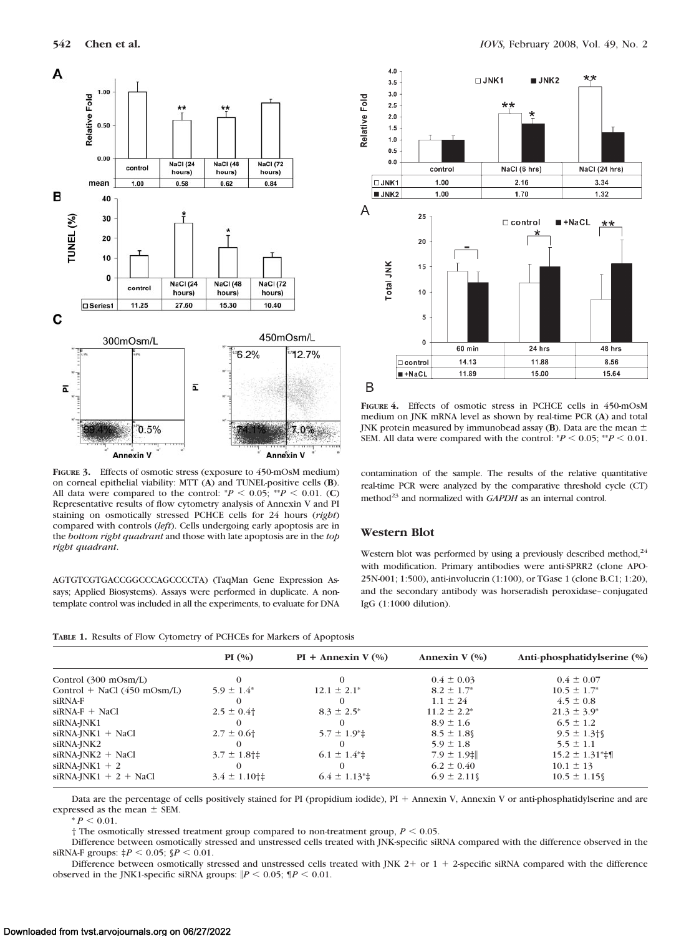

**FIGURE 3.** Effects of osmotic stress (exposure to 450-mOsM medium) on corneal epithelial viability: MTT (**A**) and TUNEL-positive cells (**B**). All data were compared to the control:  $^{*}P$  < 0.05;  $^{*}P$  < 0.01. (C) Representative results of flow cytometry analysis of Annexin V and PI staining on osmotically stressed PCHCE cells for 24 hours (*right*) compared with controls (*left*). Cells undergoing early apoptosis are in the *bottom right quadrant* and those with late apoptosis are in the *top right quadrant*.

AGTGTCGTGACCGGCCCAGCCCCTA) (TaqMan Gene Expression Assays; Applied Biosystems). Assays were performed in duplicate. A nontemplate control was included in all the experiments, to evaluate for DNA



**FIGURE 4.** Effects of osmotic stress in PCHCE cells in 450-mOsM medium on JNK mRNA level as shown by real-time PCR (**A**) and total JNK protein measured by immunobead assay  $(B)$ . Data are the mean  $\pm$ SEM. All data were compared with the control:  $P < 0.05$ ;  $P < 0.01$ .

contamination of the sample. The results of the relative quantitative real-time PCR were analyzed by the comparative threshold cycle (CT) method<sup>23</sup> and normalized with *GAPDH* as an internal control.

#### **Western Blot**

Western blot was performed by using a previously described method, $^{24}$ with modification. Primary antibodies were anti-SPRR2 (clone APO-25N-001; 1:500), anti-involucrin (1:100), or TGase 1 (clone B.C1; 1:20), and the secondary antibody was horseradish peroxidase–conjugated IgG (1:1000 dilution).

|  | TABLE 1. Results of Flow Cytometry of PCHCEs for Markers of Apoptosis |  |  |  |  |
|--|-----------------------------------------------------------------------|--|--|--|--|
|--|-----------------------------------------------------------------------|--|--|--|--|

| PI(%)                                       | $PI +$ Annexin V $(\% )$   | Annexin $V(\%)$     | Anti-phosphatidylserine (%)          |
|---------------------------------------------|----------------------------|---------------------|--------------------------------------|
|                                             | $\Omega$                   | $0.4 \pm 0.03$      | $0.4 \pm 0.07$                       |
| $5.9 \pm 1.4^*$                             | $12.1 \pm 2.1^*$           | $8.2 \pm 1.7^*$     | $10.5 \pm 1.7^*$                     |
|                                             | $\Omega$                   | $1.1 \pm 24$        | $4.5 \pm 0.8$                        |
| $2.5 \pm 0.4$                               | $8.3 \pm 2.5^*$            | $11.2 \pm 2.2^*$    | $21.3 \pm 3.9^*$                     |
|                                             | $\Omega$                   | $8.9 \pm 1.6$       | $6.5 \pm 1.2$                        |
| $2.7 \pm 0.6$                               | $5.7 \pm 1.9^* \pm$        | $8.5 \pm 1.8$       | $9.5 \pm 1.3$ † 0                    |
|                                             | $\theta$                   | $5.9 \pm 1.8$       | $5.5 \pm 1.1$                        |
| $3.7 \pm 1.8$ †‡                            | $6.1 \pm 1.4$ <sup>*</sup> | $7.9 \pm 1.9$ $\pm$ | $15.2 \pm 1.31$ <sup>*</sup> $\pm$ ¶ |
|                                             | $\Omega$                   | $6.2 \pm 0.40$      | $10.1 \pm 13$                        |
| $3.4 \pm 1.10$ <sup>+<math>\pm</math></sup> | $6.4 \pm 1.13^*$           | $6.9 \pm 2.11$      | $10.5 \pm 1.15$                      |
|                                             |                            |                     |                                      |

Data are the percentage of cells positively stained for PI (propidium iodide), PI + Annexin V, Annexin V or anti-phosphatidylserine and are expressed as the mean  $\pm$  SEM.

 $* P < 0.01$ .

 $\dagger$  The osmotically stressed treatment group compared to non-treatment group,  $P < 0.05$ .

Difference between osmotically stressed and unstressed cells treated with JNK-specific siRNA compared with the difference observed in the  $siRNA-F$  groups:  $\sharp P \leq 0.05$ ;  $\oint P \leq 0.01$ .

Difference between osmotically stressed and unstressed cells treated with JNK  $2+$  or  $1+2$ -specific siRNA compared with the difference observed in the JNK1-specific siRNA groups:  $\left| P \right| < 0.05$ ;  $\left| P \right| < 0.01$ .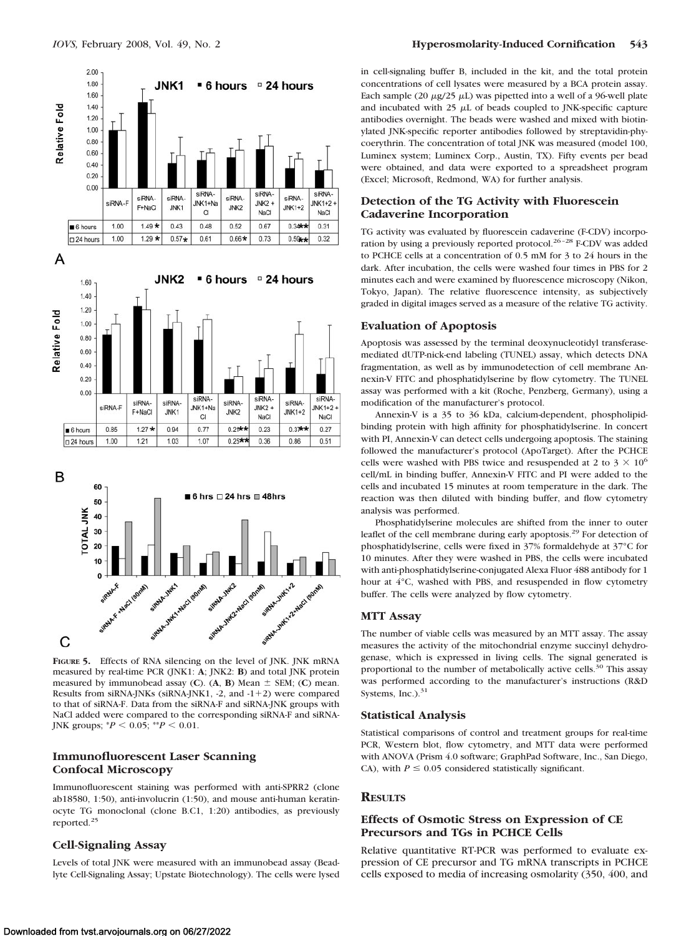

**FIGURE 5.** Effects of RNA silencing on the level of JNK. JNK mRNA measured by real-time PCR (JNK1: **A**; JNK2: **B**) and total JNK protein measured by immunobead assay (C).  $(A, B)$  Mean  $\pm$  SEM; (C) mean. Results from siRNA-JNKs (siRNA-JNK1,  $-2$ , and  $-1+2$ ) were compared to that of siRNA-F. Data from the siRNA-F and siRNA-JNK groups with NaCl added were compared to the corresponding siRNA-F and siRNA-JNK groups;  $^{*}P$  < 0.05;  $^{**}P$  < 0.01.

# **Immunofluorescent Laser Scanning Confocal Microscopy**

Immunofluorescent staining was performed with anti-SPRR2 (clone ab18580, 1:50), anti-involucrin (1:50), and mouse anti-human keratinocyte TG monoclonal (clone B.C1, 1:20) antibodies, as previously reported.25

## **Cell-Signaling Assay**

Levels of total JNK were measured with an immunobead assay (Beadlyte Cell-Signaling Assay; Upstate Biotechnology). The cells were lysed

in cell-signaling buffer B, included in the kit, and the total protein concentrations of cell lysates were measured by a BCA protein assay. Each sample (20  $\mu$ g/25  $\mu$ L) was pipetted into a well of a 96-well plate and incubated with 25  $\mu$ L of beads coupled to JNK-specific capture antibodies overnight. The beads were washed and mixed with biotinylated JNK-specific reporter antibodies followed by streptavidin-phycoerythrin. The concentration of total JNK was measured (model 100, Luminex system; Luminex Corp., Austin, TX). Fifty events per bead were obtained, and data were exported to a spreadsheet program (Excel; Microsoft, Redmond, WA) for further analysis.

## **Detection of the TG Activity with Fluorescein Cadaverine Incorporation**

TG activity was evaluated by fluorescein cadaverine (F-CDV) incorporation by using a previously reported protocol.<sup>26-28</sup> F-CDV was added to PCHCE cells at a concentration of 0.5 mM for 3 to 24 hours in the dark. After incubation, the cells were washed four times in PBS for 2 minutes each and were examined by fluorescence microscopy (Nikon, Tokyo, Japan). The relative fluorescence intensity, as subjectively graded in digital images served as a measure of the relative TG activity.

#### **Evaluation of Apoptosis**

Apoptosis was assessed by the terminal deoxynucleotidyl transferasemediated dUTP-nick-end labeling (TUNEL) assay, which detects DNA fragmentation, as well as by immunodetection of cell membrane Annexin-V FITC and phosphatidylserine by flow cytometry. The TUNEL assay was performed with a kit (Roche, Penzberg, Germany), using a modification of the manufacturer's protocol.

Annexin-V is a 35 to 36 kDa, calcium-dependent, phospholipidbinding protein with high affinity for phosphatidylserine. In concert with PI, Annexin-V can detect cells undergoing apoptosis. The staining followed the manufacturer's protocol (ApoTarget). After the PCHCE cells were washed with PBS twice and resuspended at 2 to 3  $\times$  10<sup>6</sup> cell/mL in binding buffer, Annexin-V FITC and PI were added to the cells and incubated 15 minutes at room temperature in the dark. The reaction was then diluted with binding buffer, and flow cytometry analysis was performed.

Phosphatidylserine molecules are shifted from the inner to outer leaflet of the cell membrane during early apoptosis.<sup>29</sup> For detection of phosphatidylserine, cells were fixed in 37% formaldehyde at 37°C for 10 minutes. After they were washed in PBS, the cells were incubated with anti-phosphatidylserine-conjugated Alexa Fluor 488 antibody for 1 hour at 4°C, washed with PBS, and resuspended in flow cytometry buffer. The cells were analyzed by flow cytometry.

#### **MTT Assay**

The number of viable cells was measured by an MTT assay. The assay measures the activity of the mitochondrial enzyme succinyl dehydrogenase, which is expressed in living cells. The signal generated is proportional to the number of metabolically active cells.<sup>30</sup> This assay was performed according to the manufacturer's instructions (R&D Systems, Inc.). $31$ 

#### **Statistical Analysis**

Statistical comparisons of control and treatment groups for real-time PCR, Western blot, flow cytometry, and MTT data were performed with ANOVA (Prism 4.0 software; GraphPad Software, Inc., San Diego, CA), with  $P \le 0.05$  considered statistically significant.

#### **RESULTS**

## **Effects of Osmotic Stress on Expression of CE Precursors and TGs in PCHCE Cells**

Relative quantitative RT-PCR was performed to evaluate expression of CE precursor and TG mRNA transcripts in PCHCE cells exposed to media of increasing osmolarity (350, 400, and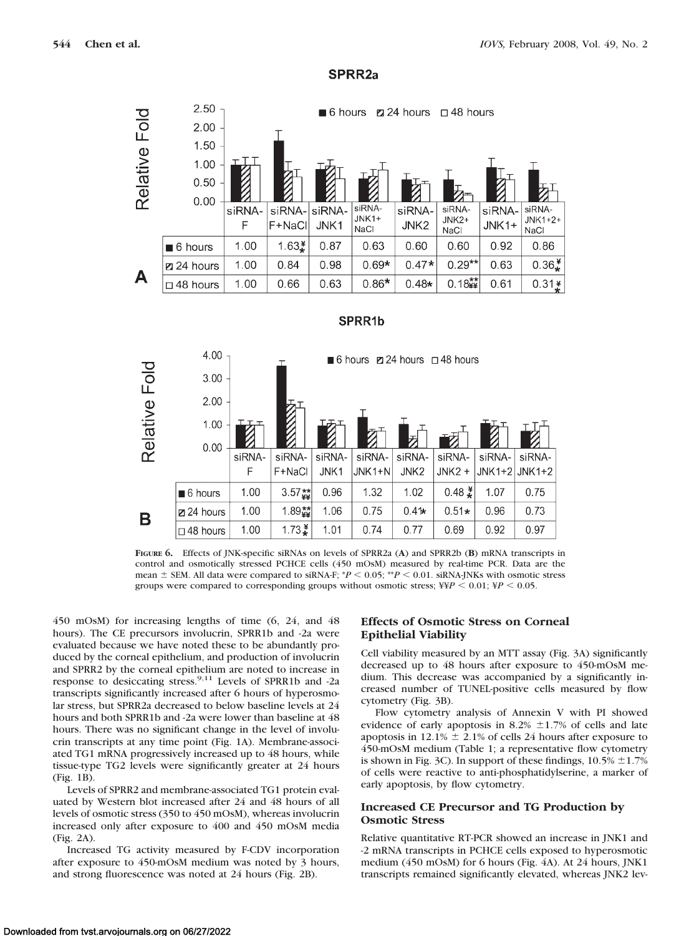



**FIGURE 6.** Effects of JNK-specific siRNAs on levels of SPRR2a (**A**) and SPRR2b (**B**) mRNA transcripts in control and osmotically stressed PCHCE cells (450 mOsM) measured by real-time PCR. Data are the mean  $\pm$  SEM. All data were compared to siRNA-F;  $^{*}P$   $\leq$  0.05;  $^{*}P$   $\leq$  0.01. siRNA-JNKs with osmotic stress groups were compared to corresponding groups without osmotic stress;  $\frac{X}{Y}P < 0.01$ ;  $\frac{Y}{Y}P < 0.05$ .

450 mOsM) for increasing lengths of time (6, 24, and 48 hours). The CE precursors involucrin, SPRR1b and -2a were evaluated because we have noted these to be abundantly produced by the corneal epithelium, and production of involucrin and SPRR2 by the corneal epithelium are noted to increase in response to desiccating stress.<sup>9,11</sup> Levels of SPRR1b and -2a transcripts significantly increased after 6 hours of hyperosmolar stress, but SPRR2a decreased to below baseline levels at 24 hours and both SPRR1b and -2a were lower than baseline at 48 hours. There was no significant change in the level of involucrin transcripts at any time point (Fig. 1A). Membrane-associated TG1 mRNA progressively increased up to 48 hours, while tissue-type TG2 levels were significantly greater at 24 hours (Fig. 1B).

Levels of SPRR2 and membrane-associated TG1 protein evaluated by Western blot increased after 24 and 48 hours of all levels of osmotic stress (350 to 450 mOsM), whereas involucrin increased only after exposure to 400 and 450 mOsM media (Fig. 2A).

Increased TG activity measured by F-CDV incorporation after exposure to 450-mOsM medium was noted by 3 hours, and strong fluorescence was noted at 24 hours (Fig. 2B).

# **Effects of Osmotic Stress on Corneal Epithelial Viability**

Cell viability measured by an MTT assay (Fig. 3A) significantly decreased up to 48 hours after exposure to 450-mOsM medium. This decrease was accompanied by a significantly increased number of TUNEL-positive cells measured by flow cytometry (Fig. 3B).

Flow cytometry analysis of Annexin V with PI showed evidence of early apoptosis in 8.2%  $\pm$ 1.7% of cells and late apoptosis in 12.1%  $\pm$  2.1% of cells 24 hours after exposure to 450-mOsM medium (Table 1; a representative flow cytometry is shown in Fig. 3C). In support of these findings,  $10.5\% \pm 1.7\%$ of cells were reactive to anti-phosphatidylserine, a marker of early apoptosis, by flow cytometry.

# **Increased CE Precursor and TG Production by Osmotic Stress**

Relative quantitative RT-PCR showed an increase in JNK1 and -2 mRNA transcripts in PCHCE cells exposed to hyperosmotic medium (450 mOsM) for 6 hours (Fig. 4A). At 24 hours, JNK1 transcripts remained significantly elevated, whereas JNK2 lev-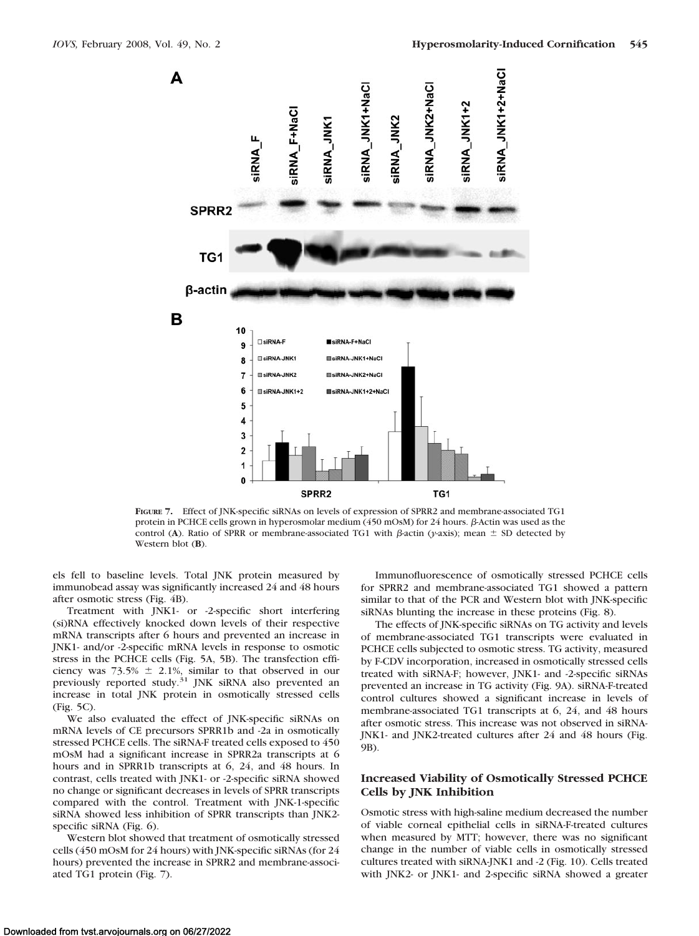

**FIGURE 7.** Effect of JNK-specific siRNAs on levels of expression of SPRR2 and membrane-associated TG1 protein in PCHCE cells grown in hyperosmolar medium  $(450 \text{ mOsM})$  for 24 hours.  $\beta$ -Actin was used as the control (A). Ratio of SPRR or membrane-associated TG1 with  $\beta$ -actin (*y*-axis); mean  $\pm$  SD detected by Western blot (**B**).

els fell to baseline levels. Total JNK protein measured by immunobead assay was significantly increased 24 and 48 hours after osmotic stress (Fig. 4B).

Treatment with JNK1- or -2-specific short interfering (si)RNA effectively knocked down levels of their respective mRNA transcripts after 6 hours and prevented an increase in JNK1- and/or -2-specific mRNA levels in response to osmotic stress in the PCHCE cells (Fig. 5A, 5B). The transfection efficiency was  $73.5\% \pm 2.1\%$ , similar to that observed in our previously reported study.<sup>31</sup> JNK siRNA also prevented an increase in total JNK protein in osmotically stressed cells (Fig. 5C).

We also evaluated the effect of JNK-specific siRNAs on mRNA levels of CE precursors SPRR1b and -2a in osmotically stressed PCHCE cells. The siRNA-F treated cells exposed to 450 mOsM had a significant increase in SPRR2a transcripts at 6 hours and in SPRR1b transcripts at 6, 24, and 48 hours. In contrast, cells treated with JNK1- or -2-specific siRNA showed no change or significant decreases in levels of SPRR transcripts compared with the control. Treatment with JNK-1-specific siRNA showed less inhibition of SPRR transcripts than JNK2 specific siRNA (Fig. 6).

Western blot showed that treatment of osmotically stressed cells (450 mOsM for 24 hours) with JNK-specific siRNAs (for 24 hours) prevented the increase in SPRR2 and membrane-associated TG1 protein (Fig. 7).

Immunofluorescence of osmotically stressed PCHCE cells for SPRR2 and membrane-associated TG1 showed a pattern similar to that of the PCR and Western blot with JNK-specific siRNAs blunting the increase in these proteins (Fig. 8).

The effects of JNK-specific siRNAs on TG activity and levels of membrane-associated TG1 transcripts were evaluated in PCHCE cells subjected to osmotic stress. TG activity, measured by F-CDV incorporation, increased in osmotically stressed cells treated with siRNA-F; however, JNK1- and -2-specific siRNAs prevented an increase in TG activity (Fig. 9A). siRNA-F-treated control cultures showed a significant increase in levels of membrane-associated TG1 transcripts at 6, 24, and 48 hours after osmotic stress. This increase was not observed in siRNA-JNK1- and JNK2-treated cultures after 24 and 48 hours (Fig. 9B).

## **Increased Viability of Osmotically Stressed PCHCE Cells by JNK Inhibition**

Osmotic stress with high-saline medium decreased the number of viable corneal epithelial cells in siRNA-F-treated cultures when measured by MTT; however, there was no significant change in the number of viable cells in osmotically stressed cultures treated with siRNA-JNK1 and -2 (Fig. 10). Cells treated with JNK2- or JNK1- and 2-specific siRNA showed a greater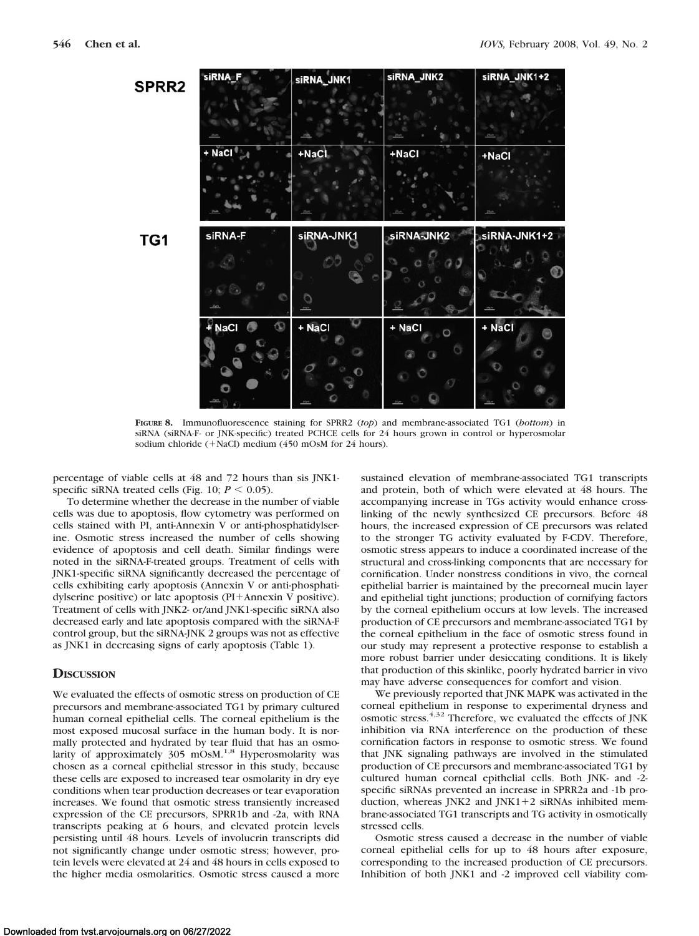

**FIGURE 8.** Immunofluorescence staining for SPRR2 (*top*) and membrane-associated TG1 (*bottom*) in siRNA (siRNA-F- or JNK-specific) treated PCHCE cells for 24 hours grown in control or hyperosmolar sodium chloride  $(+$ NaCl) medium  $(450 \text{ mOs})$  for 24 hours).

percentage of viable cells at 48 and 72 hours than sis JNK1 specific siRNA treated cells (Fig.  $10$ ;  $P < 0.05$ ).

To determine whether the decrease in the number of viable cells was due to apoptosis, flow cytometry was performed on cells stained with PI, anti-Annexin V or anti-phosphatidylserine. Osmotic stress increased the number of cells showing evidence of apoptosis and cell death. Similar findings were noted in the siRNA-F-treated groups. Treatment of cells with JNK1-specific siRNA significantly decreased the percentage of cells exhibiting early apoptosis (Annexin V or anti-phosphatidylserine positive) or late apoptosis (PI+Annexin V positive). Treatment of cells with JNK2- or/and JNK1-specific siRNA also decreased early and late apoptosis compared with the siRNA-F control group, but the siRNA-JNK 2 groups was not as effective as JNK1 in decreasing signs of early apoptosis (Table 1).

#### **DISCUSSION**

We evaluated the effects of osmotic stress on production of CE precursors and membrane-associated TG1 by primary cultured human corneal epithelial cells. The corneal epithelium is the most exposed mucosal surface in the human body. It is normally protected and hydrated by tear fluid that has an osmolarity of approximately  $305 \text{ mOs}$ <sup>1,8</sup> Hyperosmolarity was chosen as a corneal epithelial stressor in this study, because these cells are exposed to increased tear osmolarity in dry eye conditions when tear production decreases or tear evaporation increases. We found that osmotic stress transiently increased expression of the CE precursors, SPRR1b and -2a, with RNA transcripts peaking at 6 hours, and elevated protein levels persisting until 48 hours. Levels of involucrin transcripts did not significantly change under osmotic stress; however, protein levels were elevated at 24 and 48 hours in cells exposed to the higher media osmolarities. Osmotic stress caused a more

sustained elevation of membrane-associated TG1 transcripts and protein, both of which were elevated at 48 hours. The accompanying increase in TGs activity would enhance crosslinking of the newly synthesized CE precursors. Before 48 hours, the increased expression of CE precursors was related to the stronger TG activity evaluated by F-CDV. Therefore, osmotic stress appears to induce a coordinated increase of the structural and cross-linking components that are necessary for cornification. Under nonstress conditions in vivo, the corneal epithelial barrier is maintained by the precorneal mucin layer and epithelial tight junctions; production of cornifying factors by the corneal epithelium occurs at low levels. The increased production of CE precursors and membrane-associated TG1 by the corneal epithelium in the face of osmotic stress found in our study may represent a protective response to establish a more robust barrier under desiccating conditions. It is likely that production of this skinlike, poorly hydrated barrier in vivo may have adverse consequences for comfort and vision.

We previously reported that JNK MAPK was activated in the corneal epithelium in response to experimental dryness and osmotic stress.4,32 Therefore, we evaluated the effects of JNK inhibition via RNA interference on the production of these cornification factors in response to osmotic stress. We found that JNK signaling pathways are involved in the stimulated production of CE precursors and membrane-associated TG1 by cultured human corneal epithelial cells. Both JNK- and -2 specific siRNAs prevented an increase in SPRR2a and -1b production, whereas JNK2 and JNK1+2 siRNAs inhibited membrane-associated TG1 transcripts and TG activity in osmotically stressed cells.

Osmotic stress caused a decrease in the number of viable corneal epithelial cells for up to 48 hours after exposure, corresponding to the increased production of CE precursors. Inhibition of both JNK1 and -2 improved cell viability com-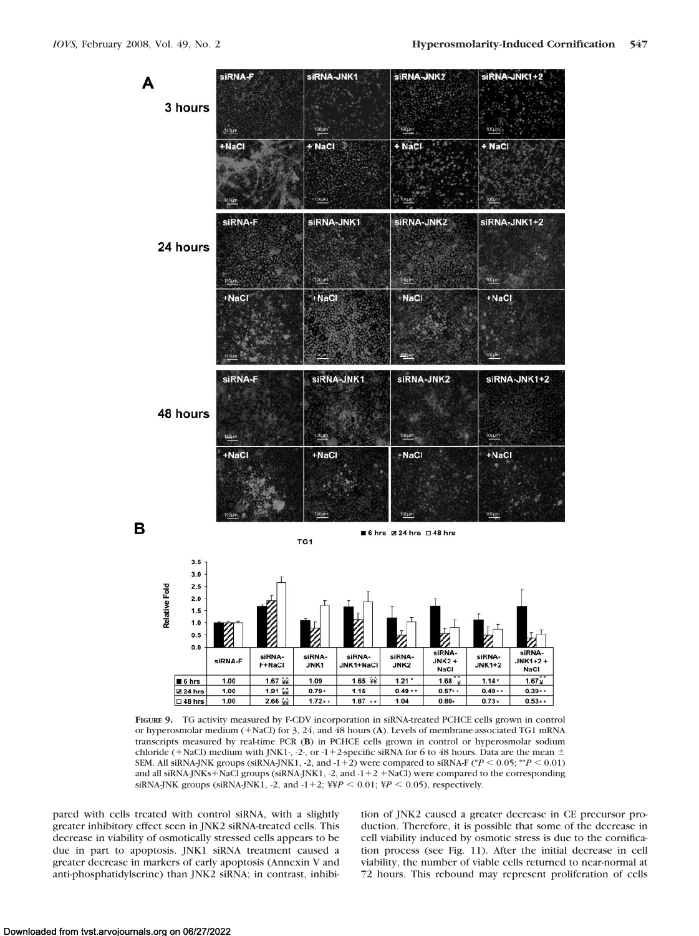

**FIGURE 9.** TG activity measured by F-CDV incorporation in siRNA-treated PCHCE cells grown in control or hyperosmolar medium (NaCl) for 3, 24, and 48 hours (**A**). Levels of membrane-associated TG1 mRNA transcripts measured by real-time PCR (**B**) in PCHCE cells grown in control or hyperosmolar sodium chloride (+NaCl) medium with JNK1-, -2-, or -1+2-specific siRNA for 6 to 48 hours. Data are the mean  $\pm$ SEM. All siRNA-JNK groups (siRNA-JNK1, -2, and  $-1+2$ ) were compared to siRNA-F ( $P < 0.05$ ;  $^{**}P < 0.01$ ) and all siRNA-JNKs+NaCl groups (siRNA-JNK1, -2, and  $-1+2 + NaCl$ ) were compared to the corresponding siRNA-JNK groups (siRNA-JNK1, -2, and  $-1+2$ ;  $\frac{1}{2}P < 0.01$ ;  $\frac{1}{2}P < 0.05$ ), respectively.

pared with cells treated with control siRNA, with a slightly greater inhibitory effect seen in JNK2 siRNA-treated cells. This decrease in viability of osmotically stressed cells appears to be due in part to apoptosis. JNK1 siRNA treatment caused a greater decrease in markers of early apoptosis (Annexin V and anti-phosphatidylserine) than JNK2 siRNA; in contrast, inhibition of JNK2 caused a greater decrease in CE precursor production. Therefore, it is possible that some of the decrease in cell viability induced by osmotic stress is due to the cornification process (see Fig. 11). After the initial decrease in cell viability, the number of viable cells returned to near-normal at 72 hours. This rebound may represent proliferation of cells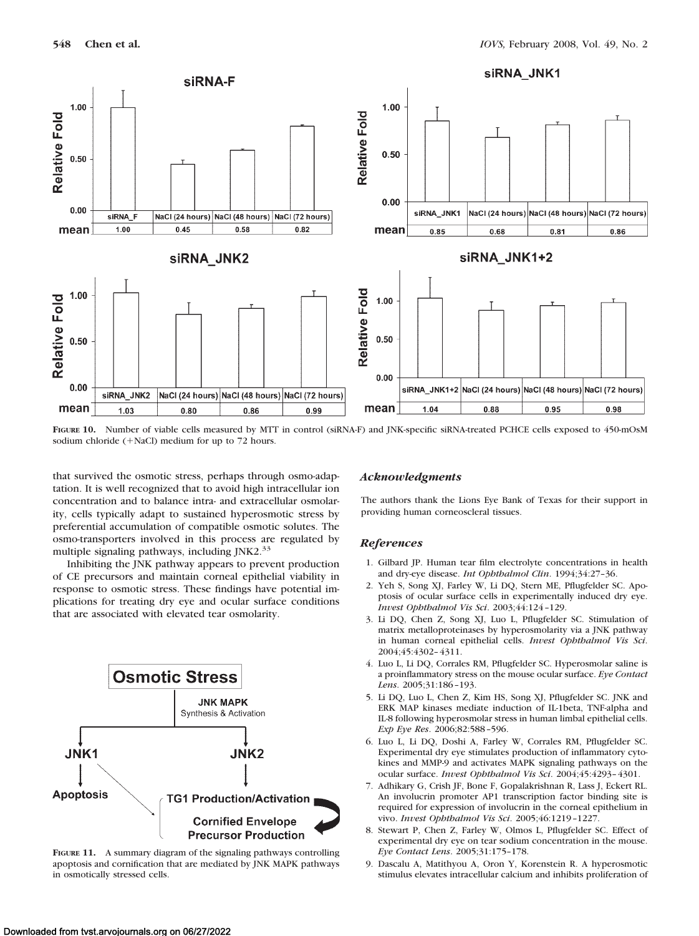

**FIGURE 10.** Number of viable cells measured by MTT in control (siRNA-F) and JNK-specific siRNA-treated PCHCE cells exposed to 450-mOsM sodium chloride  $(+$ NaCl) medium for up to 72 hours.

that survived the osmotic stress, perhaps through osmo-adaptation. It is well recognized that to avoid high intracellular ion concentration and to balance intra- and extracellular osmolarity, cells typically adapt to sustained hyperosmotic stress by preferential accumulation of compatible osmotic solutes. The osmo-transporters involved in this process are regulated by multiple signaling pathways, including JNK2.<sup>33</sup>

Inhibiting the JNK pathway appears to prevent production of CE precursors and maintain corneal epithelial viability in response to osmotic stress. These findings have potential implications for treating dry eye and ocular surface conditions that are associated with elevated tear osmolarity.



**FIGURE 11.** A summary diagram of the signaling pathways controlling apoptosis and cornification that are mediated by JNK MAPK pathways in osmotically stressed cells.

## *Acknowledgments*

The authors thank the Lions Eye Bank of Texas for their support in providing human corneoscleral tissues.

## *References*

- 1. Gilbard JP. Human tear film electrolyte concentrations in health and dry-eye disease. *Int Ophthalmol Clin*. 1994;34:27–36.
- 2. Yeh S, Song XJ, Farley W, Li DQ, Stern ME, Pflugfelder SC. Apoptosis of ocular surface cells in experimentally induced dry eye. *Invest Ophthalmol Vis Sci*. 2003;44:124 –129.
- 3. Li DQ, Chen Z, Song XJ, Luo L, Pflugfelder SC. Stimulation of matrix metalloproteinases by hyperosmolarity via a JNK pathway in human corneal epithelial cells. *Invest Ophthalmol Vis Sci*. 2004;45:4302– 4311.
- 4. Luo L, Li DQ, Corrales RM, Pflugfelder SC. Hyperosmolar saline is a proinflammatory stress on the mouse ocular surface. *Eye Contact Lens*. 2005;31:186 –193.
- 5. Li DQ, Luo L, Chen Z, Kim HS, Song XJ, Pflugfelder SC. JNK and ERK MAP kinases mediate induction of IL-1beta, TNF-alpha and IL-8 following hyperosmolar stress in human limbal epithelial cells. *Exp Eye Res*. 2006;82:588 –596.
- 6. Luo L, Li DQ, Doshi A, Farley W, Corrales RM, Pflugfelder SC. Experimental dry eye stimulates production of inflammatory cytokines and MMP-9 and activates MAPK signaling pathways on the ocular surface. *Invest Ophthalmol Vis Sci*. 2004;45:4293– 4301.
- 7. Adhikary G, Crish JF, Bone F, Gopalakrishnan R, Lass J, Eckert RL. An involucrin promoter AP1 transcription factor binding site is required for expression of involucrin in the corneal epithelium in vivo. *Invest Ophthalmol Vis Sci*. 2005;46:1219 –1227.
- 8. Stewart P, Chen Z, Farley W, Olmos L, Pflugfelder SC. Effect of experimental dry eye on tear sodium concentration in the mouse. *Eye Contact Lens*. 2005;31:175–178.
- 9. Dascalu A, Matithyou A, Oron Y, Korenstein R. A hyperosmotic stimulus elevates intracellular calcium and inhibits proliferation of